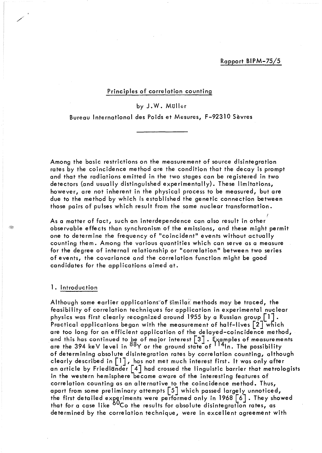## Principles of correlation counting

by J. W. Müller

Bureau International des Poids et Mesures, F-92310 Sèvres

Among the basic restrictions on the measurement of source disintegration rates by the coincidence method are the condition that the decay is prompt and that the radiations emitted in the two stages can be registered in two detectors (and usually distinguished experimentally). These limitations, however, are not inherent in the physical process to be measured, but are due to the method by which is established the genetic connection between those pairs of pulses which result from the same nuclear transformation.

f As a matter of fact, such an interdependence can also result in other observable effects than synchronism of the emissions, and these might permit one to determine the frequency of "coincident" events without actually counting them. Among the various quantities which can serve as a measure for the degree of internal relationship or "correlation" between two series of events, the covariance and the correlation function might be good candidates for the applications aimed at.

## 1. Introduction

Although some earlier applications of similar methods may be traced, the feasibility of correlation techniques for application in experimental nuclear physics was first clearly recognized around 1955 by a Russian group  $\lceil 1 \rceil$ . Practical applications began with the measurement of half-lives  $\lceil 2 \rceil$  which are too long for an efficient application of the delayed-coincidence method, and this has continued to be of major interest  $\texttt{[3]}$  . Examples of measurements are the 394 keV level in <sup>88</sup>Y or the ground state of <sup>114</sup>ln. The possibility of determining absolute disintegration rates by correlation counting, although clearly described in  $\lceil 1 \rceil$ , has not met much interest first. It was only after an article by Friedländer  $\lceil 4 \rceil$  had crossed the linguistic barrier that metrologists in the western hemisphere became aware of the interesting features of correlation counting as an alternative to the coincidence method. Thus, apart from some preliminary attempts [5] which passed largely unnoticed, the first detailed experiments were performed only in 1968  $[6]$ . They showed that for a case like  $60C$ o the results for absolute disintegration rates, as determined by the correlation technique, were in excellent agreement with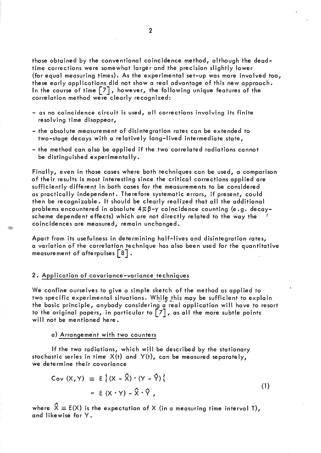those obtained by the conventional coincidence method, although the deadtime corrections were somewhat larger and the precision slightly lower (for equal measuring times). As the experimental set-up was more involved too, these early applications did not show a real advantage of this new approach. In the course of time  $\lceil 7 \rceil$ , however, the following unique features of the correlation method were clearly recognized:

- as no coincidence circuit is used, all corrections involving its finite resolving time disappear,
- the absolute measurement of disintegration rates can be extended to two-stage decays with a re lative Iy long-I ived intermediate state,
- the method can also be applied if the two correlated radiations cannot be distinguished experimenta Ily.

Finally, even in those cases where both techniques can be used, a comparison of their results is most interesting since the critical corrections applied are sufficiently different in both cases for the measurements to be considered as practically independent. Therefore systematic errors, if present, could then be recogn'izable. It should be clearly realized that ail the additional problems encountered in absolute  $4\pi\beta-\gamma$  coincidence counting (e.g. decayscheme dependent effects) which are not directly related to the way the coincidences are measured, remain unchanged.

Apart from its usefulness in determining half-lives and disintegration rates, a variation of the correlation technique has also been used for the quantitative measurement of afterpulses  $\lceil 8 \rceil$ .

### 2. Application of covariance-variance techniques

G

We confine ourselves to give a simple sketch of the method as applied to two specific experimental situations. While this may be sufficient to explain the basic principle, anybody considering a' real application will have to resort to the original papers, in particular to  $\lceil 7 \rceil$ , as all the more subtle points will not be mentioned here.

# a) Arrangement with two counters

If the two radiations, which will be described by the stationary stochastic series in time  $X(t)$  and  $Y(t)$ , can be measured separately, we determine their covariance

$$
Cov (X,Y) \equiv E \{ (X - \hat{X}) \cdot (Y - \hat{Y}) \}
$$
  
= E (X \cdot Y) - \hat{X} \cdot \hat{Y}, (1)

where  $\hat{X} \equiv E(X)$  is the expectation of X (in a measuring time interval T), and likewise for Y.

(1)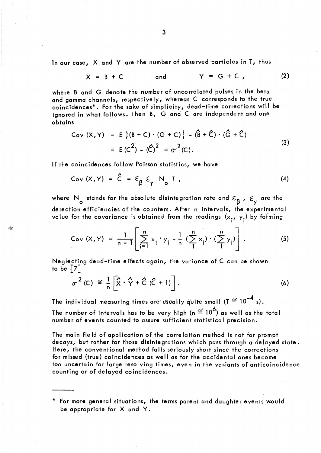ln our case, X and Y are the number of observed particles in T, thus

$$
X = B + C
$$
 and  $Y = G + C$ , (2)

where 8 and G denote the number of uncorrelated pulses in the beta and gamma channels, respectively, whereas C corresponds to the true coincidences\*. For the sake of simplicity, dead-time corrections will be ignored in what follows. Then B, G and C are independent and one obtains

Cov (X,Y) = E {
$$
(B + C) \cdot (G + C)
$$
} -  $(\hat{B} + \hat{C}) \cdot (\hat{G} + \hat{C})$   
= E (C<sup>2</sup>) -  $(\hat{C})^2 = \sigma^2(C)$ . (3)

If the coincidences follow Poisson statistics, we have

$$
Cov (X,Y) = \hat{C} = \varepsilon_{\beta} \varepsilon_{\gamma} N_{o} T, \qquad (4)
$$

where N<sub>o</sub> stands for the absolute disintegration rate and  $\varepsilon_{\beta}$ ,  $\varepsilon_{\gamma}$  are the detection efficiencies of the counters. After n intervals, the experimental value for the covariance is obtained from the readings  $(x_i, y_i)$  by forming

Cov (X, Y) = 
$$
\frac{1}{n-1} \left[ \sum_{i=1}^{n} x_i \cdot y_i - \frac{1}{n} \left( \sum_{i=1}^{n} x_i \right) \cdot \left( \sum_{i=1}^{n} y_i \right) \right].
$$
 (5)

Neglecting dead-time effects again, the variance of C can be shown to be  $[7]$ 

$$
\sigma^{2}(C) \cong \frac{1}{n} \left[ \hat{X} \cdot \hat{Y} + \hat{C} \left( \hat{C} + 1 \right) \right]. \tag{6}
$$

The individual measuring times are' usually quite small (T  $\cong$  10<sup>-4</sup> s). The number of intervals has to be very high (n  $\widetilde{=}$  10<sup>6</sup>) as well as the total number of events counted to assure sufficient statistical precision.

The main fie Id of application of the correlation method is not for prompt decays, but rather for those disintegrations which pass through a delayed state. Here, the conventional method falls seriously short since the corrections for missed (true) coincidences as weil as for the accidentai ones become too uncertain for large resolving times, even in the variants of anticoincidence

\* For more general situations, the terms parent and daughter events would be appropriate for X and Y.

counting or of delayed coincidences.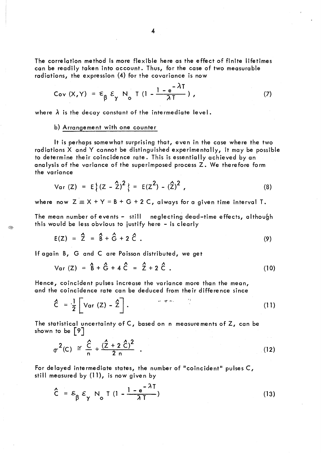The correlation method is more flexible here as the effect of finite lifetimes can be readily taken into account. Thus, for the case of two measurable radiations, the expression (4) for the covariance is now

$$
Cov (X,Y) = \epsilon_{\beta} \epsilon_{\gamma} N_{o} T (1 - \frac{1 - e^{-\lambda T}}{\lambda T}), \qquad (7)
$$

where  $\lambda$  is the decay constant of the intermediate level.

#### b) Arrangement with one counter

It is perhaps somewhat surprising that, even in the case where the two radiations X and Y cannot be distinguished experimentally, it may be possible to determine their coincidence rate. This is essentially achieved by an analysis of the variance of the superimposed process Z. We therefore form the variance

Var (Z) = 
$$
E\{(Z - \hat{Z})^2\} = E(Z^2) - (\hat{Z})^2
$$
, (8)

where now  $Z \equiv X + Y = B + G + 2 C$ , always for a given time interval T.

The mean number of events - still neglecting dead-time effects, although this would be less obvious to justify here - is clearly

$$
E(Z) = \hat{Z} = \hat{B} + \hat{G} + 2 \hat{C} \tag{9}
$$

If again B, G and C are Poisson distributed, we get

Var (Z) = 
$$
\hat{B} + \hat{G} + 4\hat{C} = \hat{Z} + 2\hat{C}
$$
. (10)

Hence, coincident pulses increase the variance more than the mean, and the coincidence rate can be deduced from their difference since

$$
\hat{C} = \frac{1}{2} \left[ Var(Z) - \hat{Z} \right].
$$
 (11)

The statistical uncertainty of C, based on n measurements of Z, can be shown to be  $\lceil 9 \rceil$ 

$$
\sigma^{2}(C) \cong \frac{\hat{C}}{n} + \frac{(\hat{Z} + 2 \hat{C})^{2}}{2 n} . \tag{12}
$$

For delayed intermediate states, the number of "coincident" pulses  $C$ , still measured by (11), is now given by

$$
\hat{C} = \varepsilon_{\beta} \varepsilon_{\gamma} N_{\text{o}} T (1 - \frac{1 - e^{-\lambda T}}{\lambda T})
$$
 (13)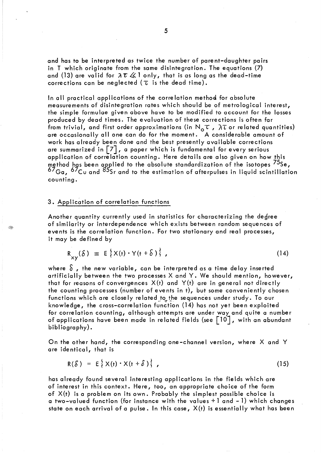and has to be interpreted as twice the number of parent-daughter pairs in T which originate from the same disintegration. The equations (7) and (13) are valid for  $\lambda \tau \ll 1$  only, that is as long as the dead-time corrections can be neglected ( $\tau$  is the dead time).

In all practical applications of the correlation method for absolute measurements of disintegration rates which should be of metrological interest, the simple formulae given above have to be modified to account for the losses produced by dead times. The evaluation of these corrections is often far from trivial, and first order approximations (in  $N_{\text{o}}\tau$ ,  $\lambda\tau$  or related quantities) are occasionally ail one can do for the moment. A considerable amount of work has already been done and the best presently available corrections are summarized in  $\lceil 7 \rceil$ , a paper which is fundamental for every serious application of correlation counting. Here details are also given on how this method has been applied to the absolute standardization of the isotopes <sup>10</sup>Se**,**  $^{67}$ Ga,  $^{67}$ Cu and  $^{85}$ Sr and to the estimation of afterpulses in liquid scintillation counting.

## 3. Application of correlation functions

Another quantity currently used in statistics for characterizing the degree of similarity or interdependence which exists between random sequences of events is the correlation function. For two stationary and real processes, it may be defined by

$$
R_{xy}(\delta) \equiv E\left\{X(t) \cdot Y(t + \delta)\right\}, \qquad (14)
$$

where  $\delta$ , the new variable, can be interpreted as a time delay inserted artificially between the two processes X and Y. We should mention, however, that for reasons of convergences  $X(t)$  and  $Y(t)$  are in general not directly the counting processes (number of events in t), but some conveniently chosen functions which are closely related to the sequences under study. To our knowledge, the cross-correlation function (14) has not yet been exploited for correlation counting, although attempts are under way and quite a number of applications have been made in related fields (see  $\lceil 10 \rceil$ , with an abundant bibliography).

On the other hand, the corresponding one-channel version, where X and Y are identical, that is

$$
R(\mathcal{S}) = E\{X(t) \cdot X(t + \mathcal{S})\}, \qquad (15)
$$

has already found several interesting applications in the fields which are of interest in this context. Here, too, an appropriate choice of the form of  $X(t)$  is a problem on its own. Probably the simplest possible choice is a two-valued function (for instance with the values + 1 and -1) which changes state on each arrival of a pulse. In this case,  $X(t)$  is essentially what has been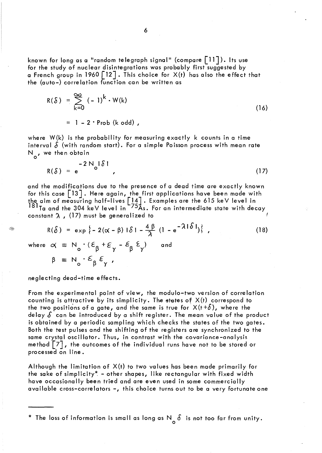known for long as a "random telegraph signal" (compare  $\lceil 11 \rceil$ ). Its use for the study of nuclear disintegrations was probably first suggested by a French group in 1960  $\lceil 12 \rceil$ . This choice for  $X(t)$  has also the effect that the (auto-) correlation function can be written as

$$
R(\delta) = \sum_{k=0}^{\infty} (-1)^k \cdot W(k)
$$
 (16)

 $= 1 - 2 \cdot$  Prob (k odd),

where W(k) is the probability for measuring exactly k counts in a time interval  $\delta$  (with random start). For a simple Poisson process with mean rate N<sub>o</sub>, we then obtain

$$
R(\delta) = e^{-2N_0|\delta|}, \qquad (17)
$$

and the modifications due to the presence of a dead time are exactly known for this case [13]. Here again, the first applications have been made with the aim of measuring half-lives  $\left[\frac{14}{5}\right]$  . Examples are the 615 keV level in <sup>181</sup>Ta and the 304 keV level in <sup>-75</sup>As. For an intermediate state with decay constant  $\lambda$ , (17) must be generalized to

$$
R(\delta) = \exp\{-2(\alpha - \beta) | \delta| - \frac{4\beta}{\lambda} (1 - e^{-\lambda |\delta|})\},
$$
\n(18)

where  $\alpha \equiv N_{0} \cdot (\varepsilon_{\beta} + \varepsilon_{\gamma} - \varepsilon_{\beta} \varepsilon_{\gamma})$ and

 $\equiv N_o \cdot \varepsilon_\beta \varepsilon_\gamma$ ,

neglecting dead-time effects.

Î.

From the experimental point of view, the modulo-two version of correlation counting is attractive by its simplicity. The states of  $X(t)$  correspond to the two positions of a gate, and the same is true for  $X(t+\delta)$ , where the delay  $\delta$  can be introduced by a shift register. The mean value of the product is obtained by a periodic sampling which checks the states of the two gates. Both the test pulses and the shifting of the registers are synchronized to the same crystal oscillator. Thus, in contrast with the covariance-analysis method  $\lceil 7 \rceil$ , the outcomes of the individual runs have not to be stored or processed on line.

Although the limitation of X(t) to two values has been made primarily for the sake of simplicity\* - other shapes, like rectangular with fixed width have occasionally been tried and are even used in some commercially available cross-correlators -, this choice turns out to be a very fortunate one

\* The loss of information is small as long as  $N_{\text{o}}$   $\delta$  is not too far from unity.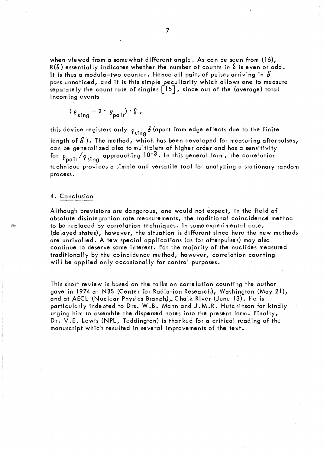when viewed from a somewhat different angle. As can be seen from (16),  $R(\delta)$  essentially indicates whether the number of counts in  $\delta$  is even or odd. It is thus a modulo-two counter. Hence all pairs of pulses arriving in  $\delta$ pass unnoticed, and it is this simple peculiarity which allows one to measure separately the count rate of singles  $\lceil 15 \rceil$ , since out of the (average) total incoming events

$$
(\rho_{sing} + 2 \cdot \rho_{pair}) \cdot \delta,
$$

this device registers only  $\rho_{\sf sing} \delta$  (apart from edge effects due to the finite length of  $\delta$ ). The method, which has been developed for measuring afterpulses, can be generalized also to multiplets of higher order and has a sensitivity for  $\rho_{pair}/\rho_{sing}$  approaching  $10^{-3}$ . In this general form, the correlation technique provides a simple and versatile tool for analyzing a stationary random process.

## 4. Conclusion

Although previsions are dangerous, one would not expect, in the field of absolute disintegration rate measurements, the traditional coincidence method to be replaced by correlation techniques. In some experimental cases (delayed states), however, the situation is different since here the new methods are unrivalled. A few special applications (as for afterpulses) may also continue to deserve some interest. For the majority of the nuclides measured traditionally by the coincidence method, however, correlation counting will be applied only occasionally for control purposes.

This short review is based on the talks on correlation counting the author gave in 1974 at NBS (Center for Radiation Research), Washington (May 21), and at AECL (Nuclear Physics Branch), Chalk River (June 13). He is particularly indebted to Drs. W.B. Mann and J.M.R. Hutchinson for kindly urging him to assemble the dispersed notes into the present form. Finally, Dr. V.E. Lewis (NPL, Teddington) is thanked for a critical reading of the manuscript which resulted in several improvements of the text.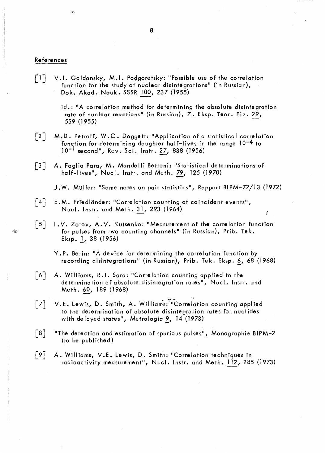#### References

 $\lceil$ ] V.I. Goldansky, M.I. Podgoretsky: "Possible use of the correlation function for the study of nuclear disintegrations" (in Russian), Dok. Akad. Nauk. SSSR 100, 237 (1955)

> $id.$ : "A correlation method for determining the absolute disintegration rate of nuclear reactions" (in Russien), Z. Eksp. Teor. Fiz. 29, 559 (1955)

- $\lceil 2 \rceil$ M.D. Petroff, W.O. Doggett: "Application of a statistical correlation function for determining daughter half-lives in the range 10-4 to 10<sup>-1</sup> second", Rev. Sci. Instr. 27, 838 (1956)
- $\begin{bmatrix} 3 \end{bmatrix}$ A. Foglio Para, M. Mandelli Bettoni: "Statistical determinations of half-lives", Nue/. Instr. and Meth. 79, 125 (1970)
	- J. W. Muller: "Some notes on pair statistics", Rapport BI PM-72/13 (1972)
- $\lceil 4 \rceil$ E.M. Friedländer: "Correlation counting of coincident events", Nucl. Instr. and Meth.~, 293 (1964)
- $\lceil 5 \rceil$ 1. V. Zotov, A.V. Kutsenko: "Measurement of the correlation function for pulses from two counting channels" (in Russian), Prib. Tek. Eksp. 1, 38 (1956)
	- Y.P. Betin: "A device for determining the correlation function by recording disintegrations" (in Russian), Prib. Tek. Eksp. 6, 68 (1968)

'li

- $\lceil 6 \rceil$ A. Williams, R.I. Sara: "Correlation counting applied to the determination of absolute disintegration rates", Nucl. Instr. and Meth. 60, 189 (1968)
- V.E. Lewis, D. Smith, A. Williams: "Correlation counting applied  $\begin{bmatrix} 7 \end{bmatrix}$ to the determination of absolute disintegration rates for nuclides with delayed states", Metrologia 9, 14 (1973)
- $\lceil 8 \rceil$ "The detection and estimation of spurious pulses", Monographie BIPM-2 (to be publ ished)
- $\lceil 9 \rceil$ A. Williams, V.E. Lewis, D. Smith: "Correlation techniques in radioactivity measurement", Nucl. Instr. and Meth. 112,285 (1973)